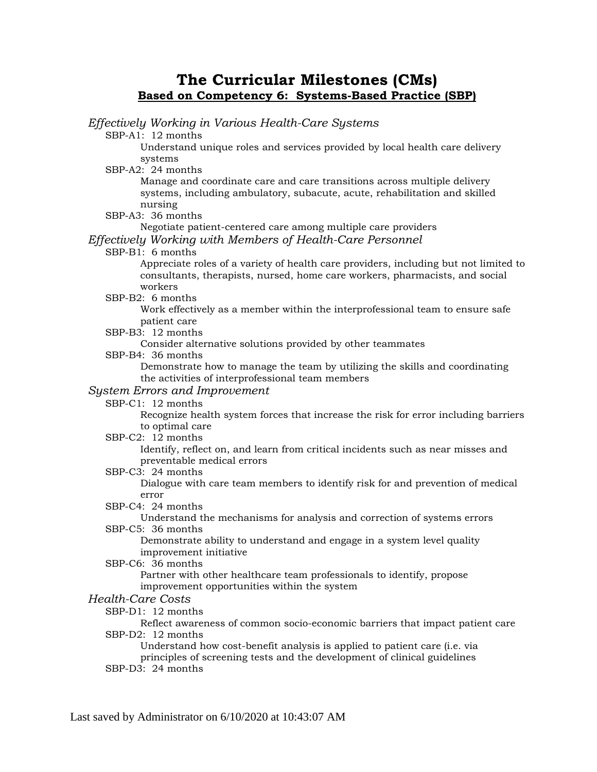## **The Curricular Milestones (CMs) Based on Competency 6: Systems-Based Practice (SBP)**

*Effectively Working in Various Health-Care Systems* SBP-A1: 12 months Understand unique roles and services provided by local health care delivery systems SBP-A2: 24 months Manage and coordinate care and care transitions across multiple delivery systems, including ambulatory, subacute, acute, rehabilitation and skilled nursing SBP-A3: 36 months Negotiate patient-centered care among multiple care providers *Effectively Working with Members of Health-Care Personnel* SBP-B1: 6 months Appreciate roles of a variety of health care providers, including but not limited to consultants, therapists, nursed, home care workers, pharmacists, and social workers SBP-B2: 6 months Work effectively as a member within the interprofessional team to ensure safe patient care SBP-B3: 12 months Consider alternative solutions provided by other teammates SBP-B4: 36 months Demonstrate how to manage the team by utilizing the skills and coordinating the activities of interprofessional team members *System Errors and Improvement* SBP-C1: 12 months Recognize health system forces that increase the risk for error including barriers to optimal care SBP-C2: 12 months Identify, reflect on, and learn from critical incidents such as near misses and preventable medical errors SBP-C3: 24 months Dialogue with care team members to identify risk for and prevention of medical error SBP-C4: 24 months Understand the mechanisms for analysis and correction of systems errors SBP-C5: 36 months Demonstrate ability to understand and engage in a system level quality improvement initiative SBP-C6: 36 months Partner with other healthcare team professionals to identify, propose improvement opportunities within the system *Health-Care Costs* SBP-D1: 12 months Reflect awareness of common socio-economic barriers that impact patient care SBP-D2: 12 months Understand how cost-benefit analysis is applied to patient care (i.e. via principles of screening tests and the development of clinical guidelines SBP-D3: 24 months